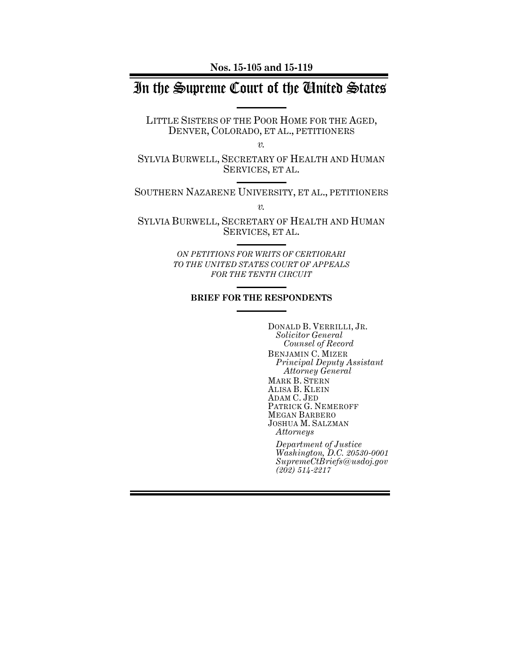**Nos. 15-105 and 15-119**

# In the Supreme Court of the United States

LITTLE SISTERS OF THE POOR HOME FOR THE AGED, DENVER, COLORADO, ET AL., PETITIONERS

*v.*

SYLVIA BURWELL, SECRETARY OF HEALTH AND HUMAN SERVICES, ET AL.

SOUTHERN NAZARENE UNIVERSITY, ET AL., PETITIONERS

*v.*

SYLVIA BURWELL, SECRETARY OF HEALTH AND HUMAN SERVICES, ET AL.

> *ON PETITIONS FOR WRITS OF CERTIORARI TO THE UNITED STATES COURT OF APPEALS FOR THE TENTH CIRCUIT*

### **BRIEF FOR THE RESPONDENTS**

DONALD B. VERRILLI, JR. *Solicitor General Counsel of Record* BENJAMIN C. MIZER *Principal Deputy Assistant Attorney General* MARK B. STERN ALISA B. KLEIN ADAM C. JED PATRICK G. NEMEROFF MEGAN BARBERO JOSHUA M. SALZMAN *Attorneys*

*Department of Justice Washington, D.C. 20530-0001 SupremeCtBriefs@usdoj.gov (202) 514-2217*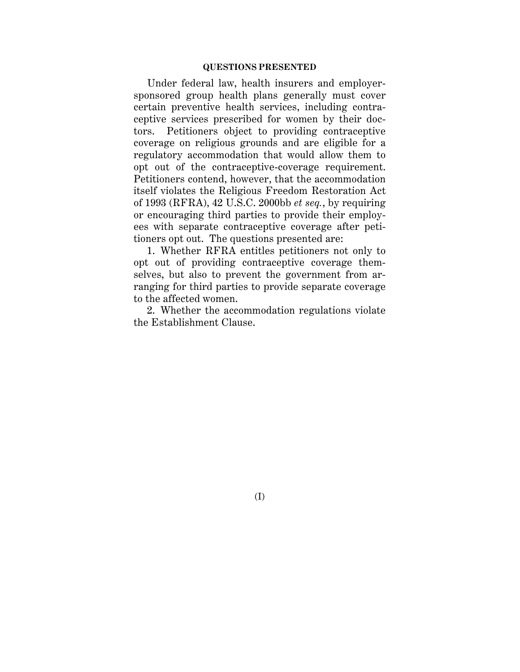## **QUESTIONS PRESENTED**

Under federal law, health insurers and employersponsored group health plans generally must cover certain preventive health services, including contraceptive services prescribed for women by their doctors. Petitioners object to providing contraceptive coverage on religious grounds and are eligible for a regulatory accommodation that would allow them to opt out of the contraceptive-coverage requirement. Petitioners contend, however, that the accommodation itself violates the Religious Freedom Restoration Act of 1993 (RFRA), 42 U.S.C. 2000bb *et seq.*, by requiring or encouraging third parties to provide their employees with separate contraceptive coverage after petitioners opt out. The questions presented are:

1. Whether RFRA entitles petitioners not only to opt out of providing contraceptive coverage themselves, but also to prevent the government from arranging for third parties to provide separate coverage to the affected women.

2. Whether the accommodation regulations violate the Establishment Clause.

(I)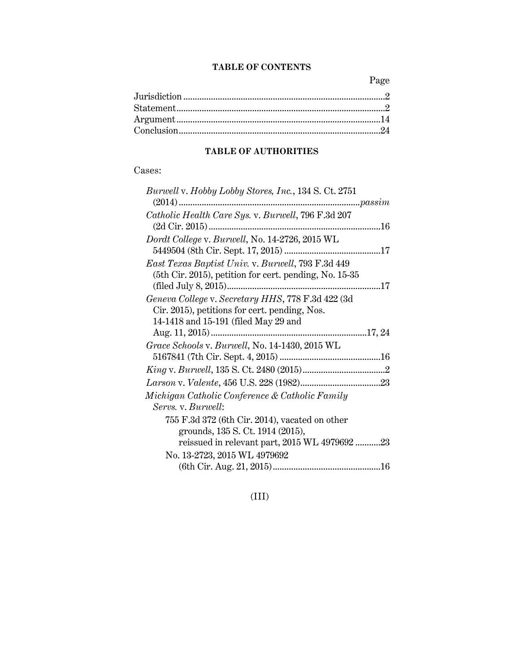## **TABLE OF CONTENTS**

Page

## **TABLE OF AUTHORITIES**

# Cases:

| Burwell v. Hobby Lobby Stores, Inc., 134 S. Ct. 2751   |  |
|--------------------------------------------------------|--|
|                                                        |  |
| Catholic Health Care Sys. v. Burwell, 796 F.3d 207     |  |
|                                                        |  |
| Dordt College v. Burwell, No. 14-2726, 2015 WL         |  |
|                                                        |  |
| East Texas Baptist Univ. v. Burwell, 793 F.3d 449      |  |
| (5th Cir. 2015), petition for cert. pending, No. 15-35 |  |
|                                                        |  |
| Geneva College v. Secretary HHS, 778 F.3d 422 (3d      |  |
| Cir. 2015), petitions for cert. pending, Nos.          |  |
| 14-1418 and 15-191 (filed May 29 and                   |  |
|                                                        |  |
| Grace Schools v. Burwell, No. 14-1430, 2015 WL         |  |
|                                                        |  |
|                                                        |  |
|                                                        |  |
| Michigan Catholic Conference & Catholic Family         |  |
| Servs. v. Burwell:                                     |  |
| 755 F.3d 372 (6th Cir. 2014), vacated on other         |  |
| grounds, 135 S. Ct. 1914 (2015),                       |  |
| reissued in relevant part, 2015 WL 4979692 23          |  |
| No. 13-2723, 2015 WL 4979692                           |  |
|                                                        |  |
|                                                        |  |

# (III)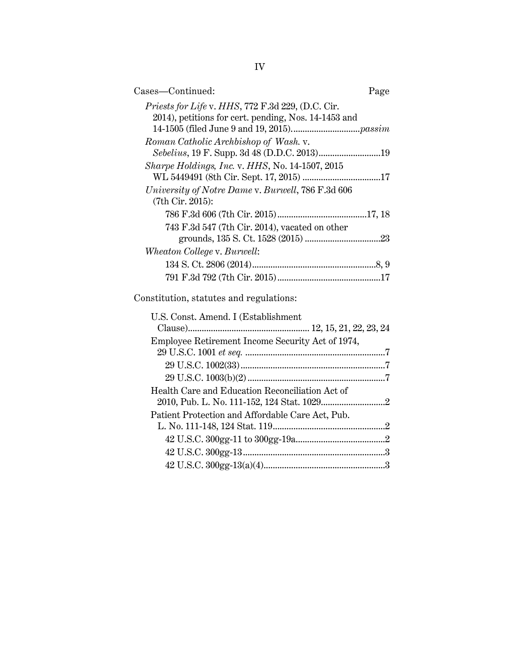| Cases-Continued:                                                                                          | Page |
|-----------------------------------------------------------------------------------------------------------|------|
| Priests for Life v. HHS, 772 F.3d 229, (D.C. Cir.<br>2014), petitions for cert. pending, Nos. 14-1453 and |      |
|                                                                                                           |      |
| Roman Catholic Archbishop of Wash. v.<br>Sebelius, 19 F. Supp. 3d 48 (D.D.C. 2013)19                      |      |
| Sharpe Holdings, Inc. v. HHS, No. 14-1507, 2015                                                           |      |
| WL 5449491 (8th Cir. Sept. 17, 2015) 17                                                                   |      |
| University of Notre Dame v. Burwell, 786 F.3d 606<br>(7th Cir. 2015):                                     |      |
|                                                                                                           |      |
| 743 F.3d 547 (7th Cir. 2014), vacated on other                                                            |      |
|                                                                                                           |      |
| Wheaton College v. Burwell:                                                                               |      |
|                                                                                                           |      |
|                                                                                                           |      |
| Constitution, statutes and regulations:                                                                   |      |
| U.S. Const. Amend. I (Establishment                                                                       |      |
|                                                                                                           |      |
| Employee Retirement Income Security Act of 1974,                                                          |      |
|                                                                                                           |      |
|                                                                                                           |      |
|                                                                                                           |      |
| Health Care and Education Reconciliation Act of                                                           |      |
|                                                                                                           |      |
| Patient Protection and Affordable Care Act, Pub.                                                          |      |

L. No. 111-148, 124 Stat. 119.................................................2 42 U.S.C. 300gg-11 to 300gg-19a.......................................2 42 U.S.C. 300gg-13..............................................................3  $42$  U.S.C.  $300\rm{gg}\text{-}13(a)(4).................$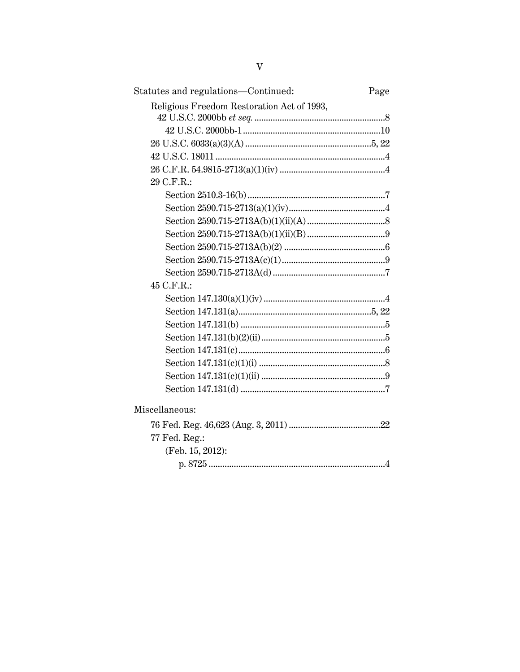| Statutes and regulations—Continued:        | Page |
|--------------------------------------------|------|
| Religious Freedom Restoration Act of 1993, |      |
|                                            |      |
|                                            |      |
|                                            |      |
|                                            |      |
| 29 C.F.R.:                                 |      |
|                                            |      |
|                                            |      |
|                                            |      |
|                                            |      |
|                                            |      |
|                                            |      |
|                                            |      |
| 45 C.F.R.:                                 |      |
|                                            |      |
|                                            |      |
|                                            |      |
|                                            |      |
|                                            |      |
|                                            |      |
|                                            |      |
|                                            |      |
| Miscellaneous:                             |      |
|                                            |      |
| 77 Fed. Reg.:                              |      |
| (Feb. 15, 2012):                           |      |
|                                            |      |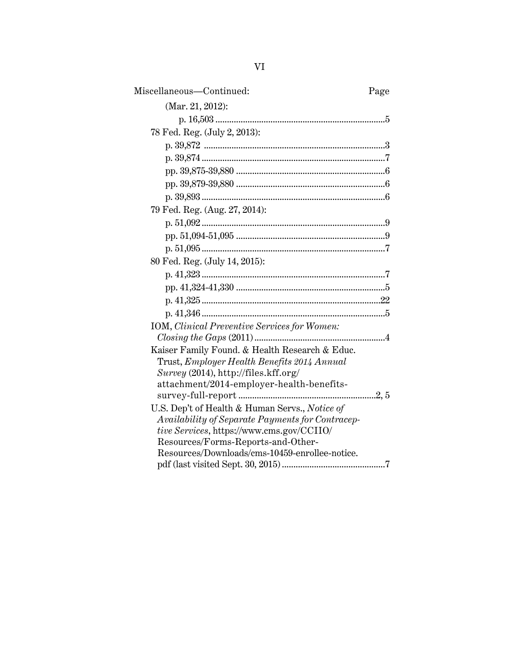| Miscellaneous-Continued:                             | Page |
|------------------------------------------------------|------|
| (Mar. 21, 2012):                                     |      |
|                                                      |      |
| 78 Fed. Reg. (July 2, 2013):                         |      |
|                                                      |      |
|                                                      |      |
|                                                      |      |
|                                                      |      |
|                                                      |      |
| 79 Fed. Reg. (Aug. 27, 2014):                        |      |
|                                                      |      |
|                                                      |      |
|                                                      |      |
| 80 Fed. Reg. (July 14, 2015):                        |      |
|                                                      |      |
|                                                      |      |
|                                                      |      |
|                                                      |      |
| <b>IOM</b> , Clinical Preventive Services for Women: |      |
|                                                      |      |
| Kaiser Family Found. & Health Research & Educ.       |      |
| Trust, Employer Health Benefits 2014 Annual          |      |
| Survey (2014), http://files.kff.org/                 |      |
| attachment/2014-employer-health-benefits-            |      |
|                                                      |      |
| U.S. Dep't of Health & Human Servs., Notice of       |      |
| Availability of Separate Payments for Contracep-     |      |
| tive Services, https://www.cms.gov/CCIIO/            |      |
| Resources/Forms-Reports-and-Other-                   |      |
| Resources/Downloads/cms-10459-enrollee-notice.       |      |
|                                                      |      |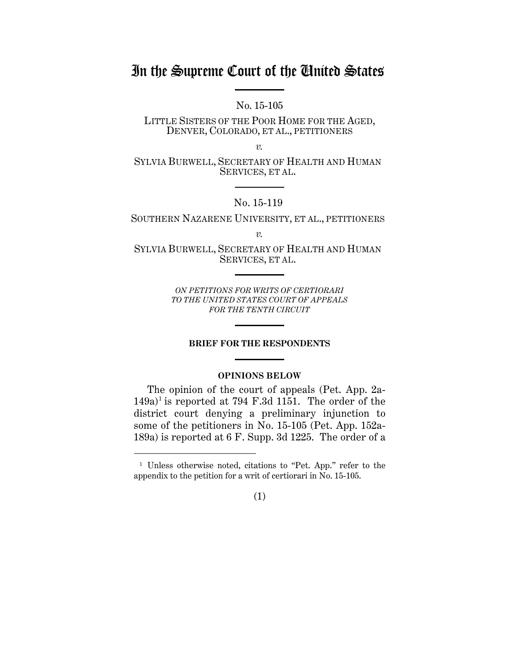# In the Supreme Court of the United States

No. 15-105

LITTLE SISTERS OF THE POOR HOME FOR THE AGED, DENVER, COLORADO, ET AL., PETITIONERS

*v.*

SYLVIA BURWELL, SECRETARY OF HEALTH AND HUMAN SERVICES, ET AL.

## No. 15-119

## SOUTHERN NAZARENE UNIVERSITY, ET AL., PETITIONERS

*v.*

SYLVIA BURWELL, SECRETARY OF HEALTH AND HUMAN SERVICES, ET AL.

> *ON PETITIONS FOR WRITS OF CERTIORARI TO THE UNITED STATES COURT OF APPEALS FOR THE TENTH CIRCUIT*

#### **BRIEF FOR THE RESPONDENTS**

## **OPINIONS BELOW**

The opinion of the court of appeals (Pet. App. 2a- $149a$ <sup>1</sup> is reported at 794 F.3d 1151. The order of the district court denying a preliminary injunction to some of the petitioners in No. 15-105 (Pet. App. 152a-189a) is reported at 6 F. Supp. 3d 1225. The order of a

 $\overline{a}$ 



<sup>1</sup> Unless otherwise noted, citations to "Pet. App." refer to the appendix to the petition for a writ of certiorari in No. 15-105.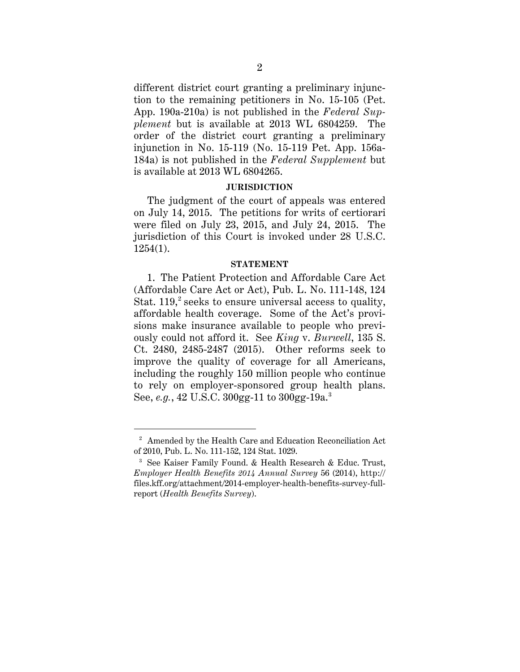different district court granting a preliminary injunction to the remaining petitioners in No. 15-105 (Pet. App. 190a-210a) is not published in the *Federal Supplement* but is available at 2013 WL 6804259. The order of the district court granting a preliminary injunction in No. 15-119 (No. 15-119 Pet. App. 156a-184a) is not published in the *Federal Supplement* but is available at 2013 WL 6804265.

### **JURISDICTION**

The judgment of the court of appeals was entered on July 14, 2015. The petitions for writs of certiorari were filed on July 23, 2015, and July 24, 2015. The jurisdiction of this Court is invoked under 28 U.S.C. 1254(1).

#### **STATEMENT**

1. The Patient Protection and Affordable Care Act (Affordable Care Act or Act), Pub. L. No. 111-148, 124 Stat.  $119<sup>2</sup>$  seeks to ensure universal access to quality, affordable health coverage. Some of the Act's provisions make insurance available to people who previously could not afford it. See *King* v. *Burwell*, 135 S. Ct. 2480, 2485-2487 (2015). Other reforms seek to improve the quality of coverage for all Americans, including the roughly 150 million people who continue to rely on employer-sponsored group health plans. See, *e.g.*, 42 U.S.C. 300gg-11 to 300gg-19a.3

<sup>&</sup>lt;sup>2</sup> Amended by the Health Care and Education Reconciliation Act of 2010, Pub. L. No. 111-152, 124 Stat. 1029.

<sup>3</sup> See Kaiser Family Found. & Health Research & Educ. Trust, *Employer Health Benefits 2014 Annual Survey* 56 (2014), http:// files.kff.org/attachment/2014-employer-health-benefits-survey-fullreport (*Health Benefits Survey*).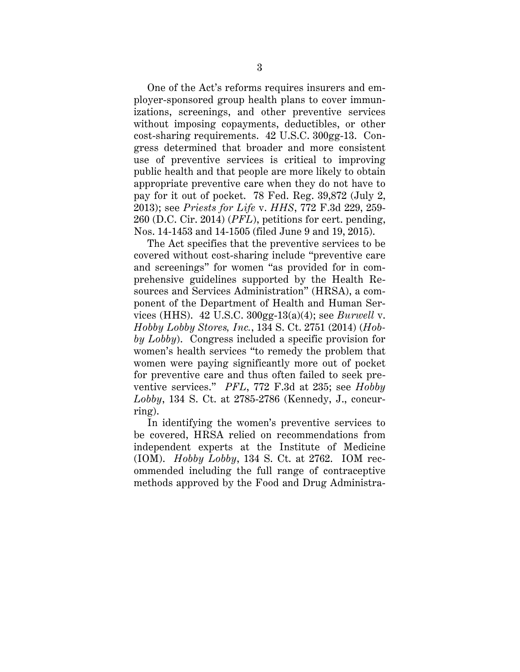One of the Act's reforms requires insurers and employer-sponsored group health plans to cover immunizations, screenings, and other preventive services without imposing copayments, deductibles, or other cost-sharing requirements. 42 U.S.C. 300gg-13. Congress determined that broader and more consistent use of preventive services is critical to improving public health and that people are more likely to obtain appropriate preventive care when they do not have to pay for it out of pocket. 78 Fed. Reg. 39,872 (July 2, 2013); see *Priests for Life* v. *HHS*, 772 F.3d 229, 259- 260 (D.C. Cir. 2014) (*PFL*), petitions for cert. pending, Nos. 14-1453 and 14-1505 (filed June 9 and 19, 2015).

The Act specifies that the preventive services to be covered without cost-sharing include "preventive care and screenings" for women "as provided for in comprehensive guidelines supported by the Health Resources and Services Administration" (HRSA), a component of the Department of Health and Human Services (HHS). 42 U.S.C. 300gg-13(a)(4); see *Burwell* v. *Hobby Lobby Stores, Inc.*, 134 S. Ct. 2751 (2014) (*Hobby Lobby*). Congress included a specific provision for women's health services "to remedy the problem that women were paying significantly more out of pocket for preventive care and thus often failed to seek preventive services." *PFL*, 772 F.3d at 235; see *Hobby Lobby*, 134 S. Ct. at 2785-2786 (Kennedy, J., concurring).

In identifying the women's preventive services to be covered, HRSA relied on recommendations from independent experts at the Institute of Medicine (IOM). *Hobby Lobby*, 134 S. Ct. at 2762. IOM recommended including the full range of contraceptive methods approved by the Food and Drug Administra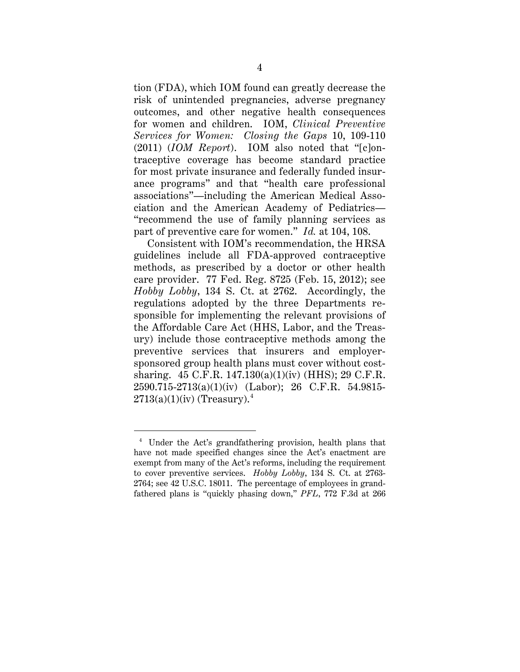tion (FDA), which IOM found can greatly decrease the risk of unintended pregnancies, adverse pregnancy outcomes, and other negative health consequences for women and children. IOM, *Clinical Preventive Services for Women: Closing the Gaps* 10, 109-110 (2011) (*IOM Report*). IOM also noted that "[c]ontraceptive coverage has become standard practice for most private insurance and federally funded insurance programs" and that "health care professional associations"—including the American Medical Association and the American Academy of Pediatrics— "recommend the use of family planning services as part of preventive care for women." *Id.* at 104, 108.

Consistent with IOM's recommendation, the HRSA guidelines include all FDA-approved contraceptive methods, as prescribed by a doctor or other health care provider. 77 Fed. Reg. 8725 (Feb. 15, 2012); see *Hobby Lobby*, 134 S. Ct. at 2762. Accordingly, the regulations adopted by the three Departments responsible for implementing the relevant provisions of the Affordable Care Act (HHS, Labor, and the Treasury) include those contraceptive methods among the preventive services that insurers and employersponsored group health plans must cover without costsharing. 45 C.F.R. 147.130(a)(1)(iv) (HHS); 29 C.F.R. 2590.715-2713(a)(1)(iv) (Labor); 26 C.F.R. 54.9815-  $2713(a)(1)(iv)$  (Treasury).<sup>4</sup>

 <sup>4</sup> Under the Act's grandfathering provision, health plans that have not made specified changes since the Act's enactment are exempt from many of the Act's reforms, including the requirement to cover preventive services. *Hobby Lobby*, 134 S. Ct. at 2763- 2764; see 42 U.S.C. 18011. The percentage of employees in grandfathered plans is "quickly phasing down," *PFL*, 772 F.3d at 266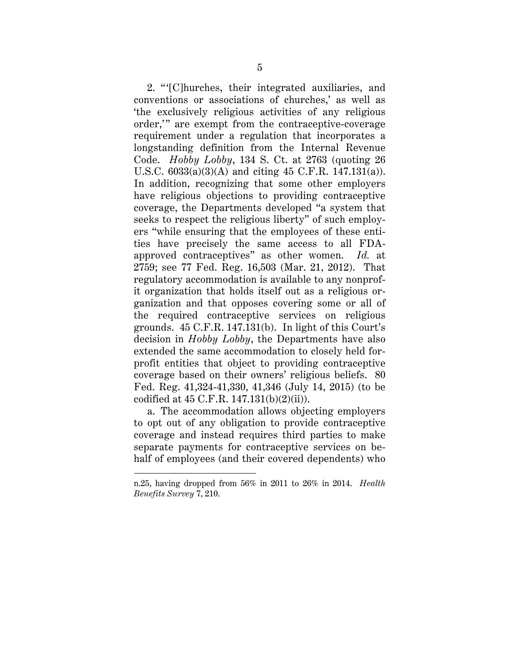2. " '[C]hurches, their integrated auxiliaries, and conventions or associations of churches,' as well as 'the exclusively religious activities of any religious order," are exempt from the contraceptive-coverage requirement under a regulation that incorporates a longstanding definition from the Internal Revenue Code. *Hobby Lobby*, 134 S. Ct. at 2763 (quoting 26 U.S.C. 6033(a)(3)(A) and citing 45 C.F.R. 147.131(a)). In addition, recognizing that some other employers have religious objections to providing contraceptive coverage, the Departments developed "a system that seeks to respect the religious liberty" of such employers "while ensuring that the employees of these entities have precisely the same access to all FDAapproved contraceptives" as other women. *Id.* at 2759; see 77 Fed. Reg. 16,503 (Mar. 21, 2012). That regulatory accommodation is available to any nonprofit organization that holds itself out as a religious organization and that opposes covering some or all of the required contraceptive services on religious grounds. 45 C.F.R. 147.131(b). In light of this Court's decision in *Hobby Lobby*, the Departments have also extended the same accommodation to closely held forprofit entities that object to providing contraceptive coverage based on their owners' religious beliefs. 80 Fed. Reg. 41,324-41,330, 41,346 (July 14, 2015) (to be codified at 45 C.F.R. 147.131(b)(2)(ii)).

a. The accommodation allows objecting employers to opt out of any obligation to provide contraceptive coverage and instead requires third parties to make separate payments for contraceptive services on behalf of employees (and their covered dependents) who

 $\ddot{\phantom{a}}$ 

n.25, having dropped from 56% in 2011 to 26% in 2014. *Health Benefits Survey* 7, 210.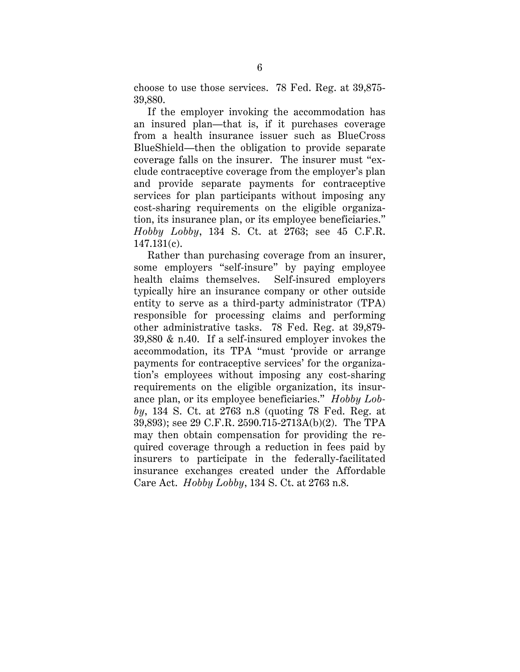choose to use those services. 78 Fed. Reg. at 39,875- 39,880.

If the employer invoking the accommodation has an insured plan—that is, if it purchases coverage from a health insurance issuer such as BlueCross BlueShield—then the obligation to provide separate coverage falls on the insurer. The insurer must "exclude contraceptive coverage from the employer's plan and provide separate payments for contraceptive services for plan participants without imposing any cost-sharing requirements on the eligible organization, its insurance plan, or its employee beneficiaries." *Hobby Lobby*, 134 S. Ct. at 2763; see 45 C.F.R. 147.131(c).

Rather than purchasing coverage from an insurer, some employers "self-insure" by paying employee health claims themselves. Self-insured employers typically hire an insurance company or other outside entity to serve as a third-party administrator (TPA) responsible for processing claims and performing other administrative tasks. 78 Fed. Reg. at 39,879- 39,880 & n.40. If a self-insured employer invokes the accommodation, its TPA "must 'provide or arrange payments for contraceptive services' for the organization's employees without imposing any cost-sharing requirements on the eligible organization, its insurance plan, or its employee beneficiaries." *Hobby Lobby*, 134 S. Ct. at 2763 n.8 (quoting 78 Fed. Reg. at 39,893); see 29 C.F.R. 2590.715-2713A(b)(2). The TPA may then obtain compensation for providing the required coverage through a reduction in fees paid by insurers to participate in the federally-facilitated insurance exchanges created under the Affordable Care Act. *Hobby Lobby*, 134 S. Ct. at 2763 n.8.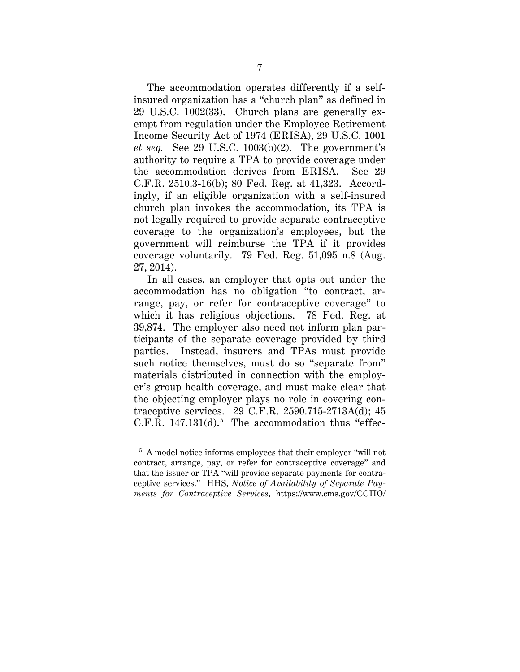The accommodation operates differently if a selfinsured organization has a "church plan" as defined in 29 U.S.C. 1002(33). Church plans are generally exempt from regulation under the Employee Retirement Income Security Act of 1974 (ERISA), 29 U.S.C. 1001 *et seq.* See 29 U.S.C. 1003(b)(2). The government's authority to require a TPA to provide coverage under the accommodation derives from ERISA. See 29 C.F.R. 2510.3-16(b); 80 Fed. Reg. at 41,323. Accordingly, if an eligible organization with a self-insured church plan invokes the accommodation, its TPA is not legally required to provide separate contraceptive coverage to the organization's employees, but the government will reimburse the TPA if it provides coverage voluntarily. 79 Fed. Reg. 51,095 n.8 (Aug. 27, 2014).

In all cases, an employer that opts out under the accommodation has no obligation "to contract, arrange, pay, or refer for contraceptive coverage" to which it has religious objections. 78 Fed. Reg. at 39,874. The employer also need not inform plan participants of the separate coverage provided by third parties. Instead, insurers and TPAs must provide such notice themselves, must do so "separate from" materials distributed in connection with the employer's group health coverage, and must make clear that the objecting employer plays no role in covering contraceptive services. 29 C.F.R. 2590.715-2713A(d); 45 C.F.R.  $147.131(d).$ <sup>5</sup> The accommodation thus "effec-

 <sup>5</sup> A model notice informs employees that their employer "will not contract, arrange, pay, or refer for contraceptive coverage" and that the issuer or TPA "will provide separate payments for contraceptive services." HHS, *Notice of Availability of Separate Payments for Contraceptive Services*, https://www.cms.gov/CCIIO/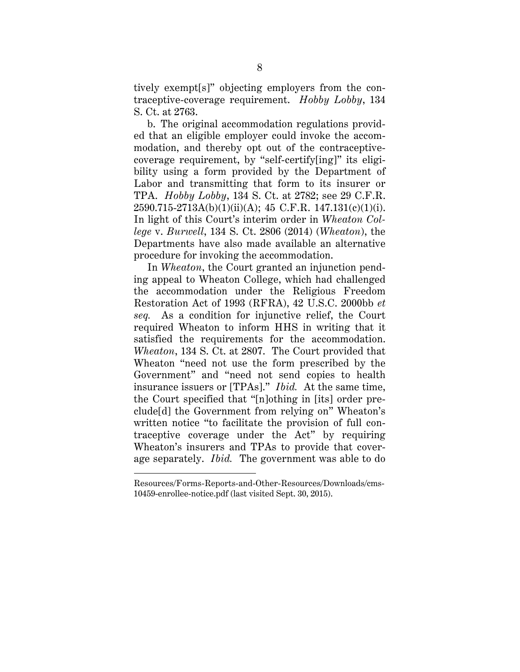tively exempt[s]" objecting employers from the contraceptive-coverage requirement. *Hobby Lobby*, 134 S. Ct. at 2763.

b. The original accommodation regulations provided that an eligible employer could invoke the accommodation, and thereby opt out of the contraceptivecoverage requirement, by "self-certify[ing]" its eligibility using a form provided by the Department of Labor and transmitting that form to its insurer or TPA. *Hobby Lobby*, 134 S. Ct. at 2782; see 29 C.F.R.  $2590.715-2713A(b)(1)(ii)(A); 45 C.F.R. 147.131(c)(1)(i).$ In light of this Court's interim order in *Wheaton College* v. *Burwell*, 134 S. Ct. 2806 (2014) (*Wheaton*), the Departments have also made available an alternative procedure for invoking the accommodation.

In *Wheaton*, the Court granted an injunction pending appeal to Wheaton College, which had challenged the accommodation under the Religious Freedom Restoration Act of 1993 (RFRA), 42 U.S.C. 2000bb *et seq.* As a condition for injunctive relief, the Court required Wheaton to inform HHS in writing that it satisfied the requirements for the accommodation. *Wheaton*, 134 S. Ct. at 2807. The Court provided that Wheaton "need not use the form prescribed by the Government" and "need not send copies to health insurance issuers or [TPAs]." *Ibid.* At the same time, the Court specified that "[n]othing in [its] order preclude[d] the Government from relying on" Wheaton's written notice "to facilitate the provision of full contraceptive coverage under the Act" by requiring Wheaton's insurers and TPAs to provide that coverage separately. *Ibid.* The government was able to do

 $\overline{a}$ 

Resources/Forms-Reports-and-Other-Resources/Downloads/cms-10459-enrollee-notice.pdf (last visited Sept. 30, 2015).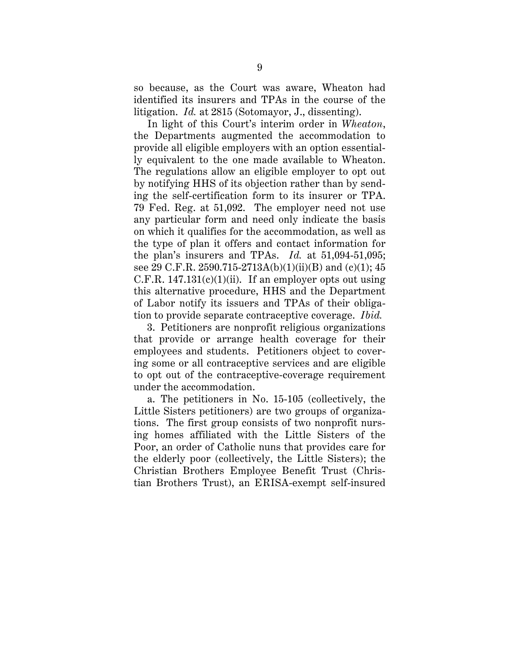so because, as the Court was aware, Wheaton had identified its insurers and TPAs in the course of the litigation. *Id.* at 2815 (Sotomayor, J., dissenting).

In light of this Court's interim order in *Wheaton*, the Departments augmented the accommodation to provide all eligible employers with an option essentially equivalent to the one made available to Wheaton. The regulations allow an eligible employer to opt out by notifying HHS of its objection rather than by sending the self-certification form to its insurer or TPA. 79 Fed. Reg. at 51,092. The employer need not use any particular form and need only indicate the basis on which it qualifies for the accommodation, as well as the type of plan it offers and contact information for the plan's insurers and TPAs. *Id.* at 51,094-51,095; see 29 C.F.R. 2590.715-2713A(b)(1)(ii)(B) and (c)(1); 45 C.F.R.  $147.131(c)(1)(ii)$ . If an employer opts out using this alternative procedure, HHS and the Department of Labor notify its issuers and TPAs of their obligation to provide separate contraceptive coverage. *Ibid.*

3. Petitioners are nonprofit religious organizations that provide or arrange health coverage for their employees and students. Petitioners object to covering some or all contraceptive services and are eligible to opt out of the contraceptive-coverage requirement under the accommodation.

a. The petitioners in No. 15-105 (collectively, the Little Sisters petitioners) are two groups of organizations. The first group consists of two nonprofit nursing homes affiliated with the Little Sisters of the Poor, an order of Catholic nuns that provides care for the elderly poor (collectively, the Little Sisters); the Christian Brothers Employee Benefit Trust (Christian Brothers Trust), an ERISA-exempt self-insured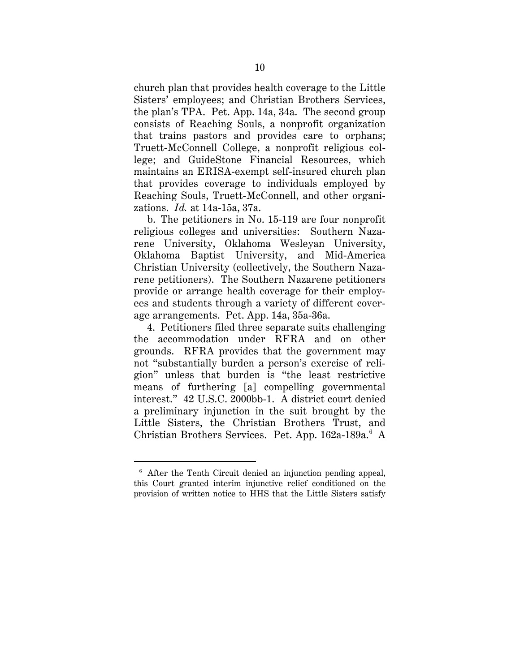church plan that provides health coverage to the Little Sisters' employees; and Christian Brothers Services, the plan's TPA. Pet. App. 14a, 34a. The second group consists of Reaching Souls, a nonprofit organization that trains pastors and provides care to orphans; Truett-McConnell College, a nonprofit religious college; and GuideStone Financial Resources, which maintains an ERISA-exempt self-insured church plan that provides coverage to individuals employed by Reaching Souls, Truett-McConnell, and other organizations. *Id.* at 14a-15a, 37a.

b. The petitioners in No. 15-119 are four nonprofit religious colleges and universities: Southern Nazarene University, Oklahoma Wesleyan University, Oklahoma Baptist University, and Mid-America Christian University (collectively, the Southern Nazarene petitioners). The Southern Nazarene petitioners provide or arrange health coverage for their employees and students through a variety of different coverage arrangements. Pet. App. 14a, 35a-36a.

4. Petitioners filed three separate suits challenging the accommodation under RFRA and on other grounds. RFRA provides that the government may not "substantially burden a person's exercise of religion" unless that burden is "the least restrictive means of furthering [a] compelling governmental interest." 42 U.S.C. 2000bb-1. A district court denied a preliminary injunction in the suit brought by the Little Sisters, the Christian Brothers Trust, and Christian Brothers Services. Pet. App. 162a-189a.<sup>6</sup> A

 <sup>6</sup> After the Tenth Circuit denied an injunction pending appeal, this Court granted interim injunctive relief conditioned on the provision of written notice to HHS that the Little Sisters satisfy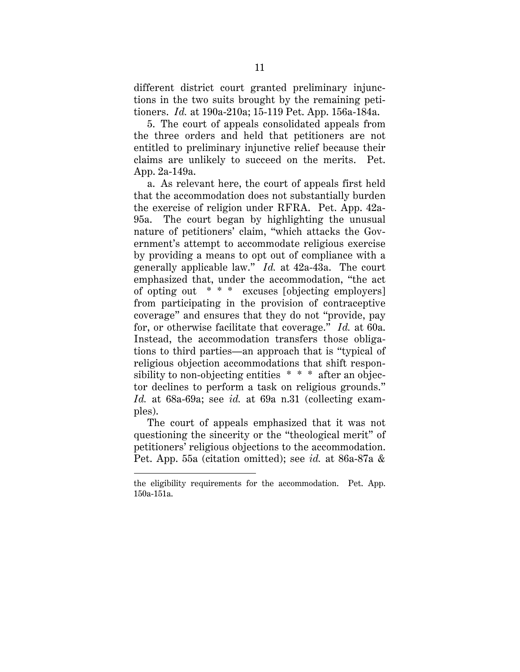different district court granted preliminary injunctions in the two suits brought by the remaining petitioners. *Id.* at 190a-210a; 15-119 Pet. App. 156a-184a.

5. The court of appeals consolidated appeals from the three orders and held that petitioners are not entitled to preliminary injunctive relief because their claims are unlikely to succeed on the merits. Pet. App. 2a-149a.

a. As relevant here, the court of appeals first held that the accommodation does not substantially burden the exercise of religion under RFRA. Pet. App. 42a-95a. The court began by highlighting the unusual nature of petitioners' claim, "which attacks the Government's attempt to accommodate religious exercise by providing a means to opt out of compliance with a generally applicable law." *Id.* at 42a-43a. The court emphasized that, under the accommodation, "the act of opting out \* \* \* excuses [objecting employers] from participating in the provision of contraceptive coverage" and ensures that they do not "provide, pay for, or otherwise facilitate that coverage." *Id.* at 60a. Instead, the accommodation transfers those obligations to third parties—an approach that is "typical of religious objection accommodations that shift responsibility to non-objecting entities \* \* \* after an objector declines to perform a task on religious grounds." *Id.* at 68a-69a; see *id.* at 69a n.31 (collecting examples).

The court of appeals emphasized that it was not questioning the sincerity or the "theological merit" of petitioners' religious objections to the accommodation. Pet. App. 55a (citation omitted); see *id.* at 86a-87a &

 $\overline{a}$ 

the eligibility requirements for the accommodation. Pet. App. 150a-151a.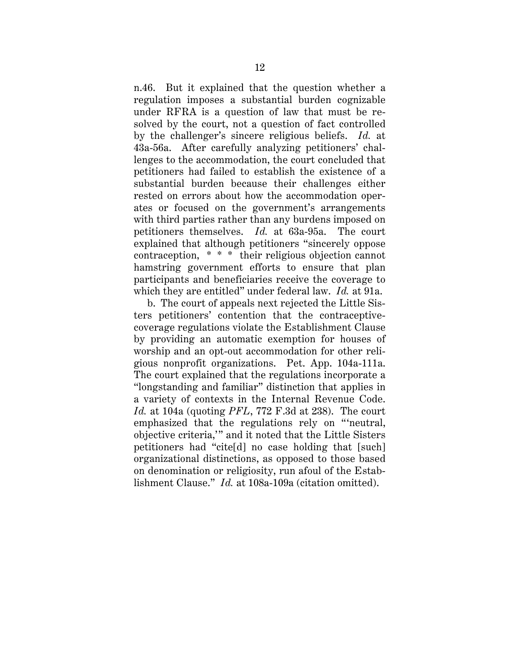n.46. But it explained that the question whether a regulation imposes a substantial burden cognizable under RFRA is a question of law that must be resolved by the court, not a question of fact controlled by the challenger's sincere religious beliefs. *Id.* at 43a-56a. After carefully analyzing petitioners' challenges to the accommodation, the court concluded that petitioners had failed to establish the existence of a substantial burden because their challenges either rested on errors about how the accommodation operates or focused on the government's arrangements with third parties rather than any burdens imposed on petitioners themselves. *Id.* at 63a-95a. The court explained that although petitioners "sincerely oppose contraception, \* \* \* their religious objection cannot hamstring government efforts to ensure that plan participants and beneficiaries receive the coverage to which they are entitled" under federal law. *Id.* at 91a.

b. The court of appeals next rejected the Little Sisters petitioners' contention that the contraceptivecoverage regulations violate the Establishment Clause by providing an automatic exemption for houses of worship and an opt-out accommodation for other religious nonprofit organizations. Pet. App. 104a-111a. The court explained that the regulations incorporate a "longstanding and familiar" distinction that applies in a variety of contexts in the Internal Revenue Code. *Id.* at 104a (quoting *PFL*, 772 F.3d at 238). The court emphasized that the regulations rely on "'neutral, objective criteria,'" and it noted that the Little Sisters petitioners had "cite[d] no case holding that [such] organizational distinctions, as opposed to those based on denomination or religiosity, run afoul of the Establishment Clause." *Id.* at 108a-109a (citation omitted).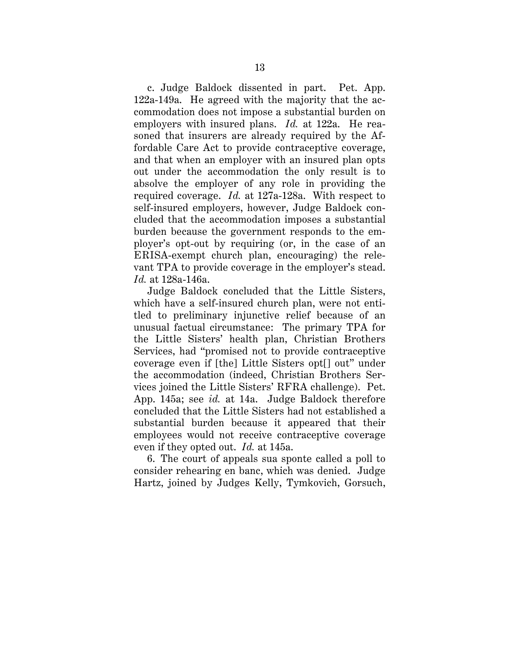c. Judge Baldock dissented in part. Pet. App. 122a-149a. He agreed with the majority that the accommodation does not impose a substantial burden on employers with insured plans. *Id.* at 122a. He reasoned that insurers are already required by the Affordable Care Act to provide contraceptive coverage, and that when an employer with an insured plan opts out under the accommodation the only result is to absolve the employer of any role in providing the required coverage. *Id.* at 127a-128a. With respect to self-insured employers, however, Judge Baldock concluded that the accommodation imposes a substantial burden because the government responds to the employer's opt-out by requiring (or, in the case of an ERISA-exempt church plan, encouraging) the relevant TPA to provide coverage in the employer's stead. *Id.* at 128a-146a.

Judge Baldock concluded that the Little Sisters, which have a self-insured church plan, were not entitled to preliminary injunctive relief because of an unusual factual circumstance: The primary TPA for the Little Sisters' health plan, Christian Brothers Services, had "promised not to provide contraceptive coverage even if [the] Little Sisters opt[] out" under the accommodation (indeed, Christian Brothers Services joined the Little Sisters' RFRA challenge). Pet. App. 145a; see *id.* at 14a. Judge Baldock therefore concluded that the Little Sisters had not established a substantial burden because it appeared that their employees would not receive contraceptive coverage even if they opted out. *Id.* at 145a.

6. The court of appeals sua sponte called a poll to consider rehearing en banc, which was denied. Judge Hartz, joined by Judges Kelly, Tymkovich, Gorsuch,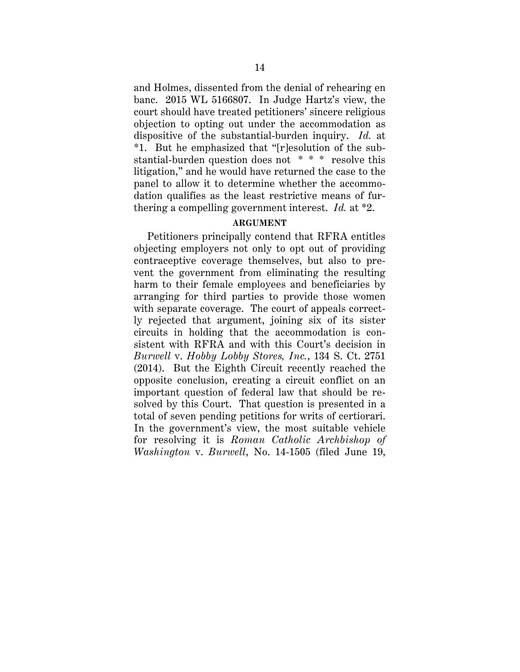and Holmes, dissented from the denial of rehearing en banc. 2015 WL 5166807. In Judge Hartz's view, the court should have treated petitioners' sincere religious objection to opting out under the accommodation as dispositive of the substantial-burden inquiry. *Id.* at \*1. But he emphasized that "[r]esolution of the substantial-burden question does not \* \* \* resolve this litigation," and he would have returned the case to the panel to allow it to determine whether the accommodation qualifies as the least restrictive means of furthering a compelling government interest. *Id.* at \*2.

### **ARGUMENT**

Petitioners principally contend that RFRA entitles objecting employers not only to opt out of providing contraceptive coverage themselves, but also to prevent the government from eliminating the resulting harm to their female employees and beneficiaries by arranging for third parties to provide those women with separate coverage. The court of appeals correctly rejected that argument, joining six of its sister circuits in holding that the accommodation is consistent with RFRA and with this Court's decision in *Burwell* v. *Hobby Lobby Stores, Inc.*, 134 S. Ct. 2751 (2014). But the Eighth Circuit recently reached the opposite conclusion, creating a circuit conflict on an important question of federal law that should be resolved by this Court. That question is presented in a total of seven pending petitions for writs of certiorari. In the government's view, the most suitable vehicle for resolving it is *Roman Catholic Archbishop of Washington* v. *Burwell*, No. 14-1505 (filed June 19,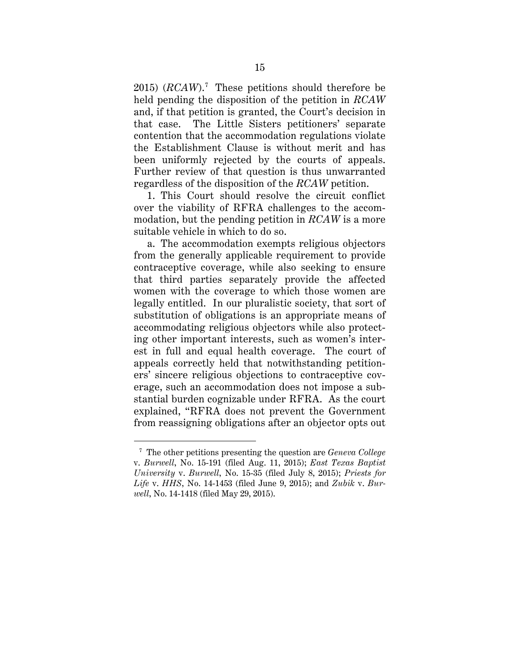2015) (*RCAW*).7 These petitions should therefore be held pending the disposition of the petition in *RCAW* and, if that petition is granted, the Court's decision in that case. The Little Sisters petitioners' separate contention that the accommodation regulations violate the Establishment Clause is without merit and has been uniformly rejected by the courts of appeals. Further review of that question is thus unwarranted regardless of the disposition of the *RCAW* petition.

1. This Court should resolve the circuit conflict over the viability of RFRA challenges to the accommodation, but the pending petition in *RCAW* is a more suitable vehicle in which to do so.

a. The accommodation exempts religious objectors from the generally applicable requirement to provide contraceptive coverage, while also seeking to ensure that third parties separately provide the affected women with the coverage to which those women are legally entitled. In our pluralistic society, that sort of substitution of obligations is an appropriate means of accommodating religious objectors while also protecting other important interests, such as women's interest in full and equal health coverage. The court of appeals correctly held that notwithstanding petitioners' sincere religious objections to contraceptive coverage, such an accommodation does not impose a substantial burden cognizable under RFRA. As the court explained, "RFRA does not prevent the Government from reassigning obligations after an objector opts out

 <sup>7</sup> The other petitions presenting the question are *Geneva College* v. *Burwell*, No. 15-191 (filed Aug. 11, 2015); *East Texas Baptist University* v. *Burwell*, No. 15-35 (filed July 8, 2015); *Priests for Life* v. *HHS*, No. 14-1453 (filed June 9, 2015); and *Zubik* v. *Burwell*, No. 14-1418 (filed May 29, 2015).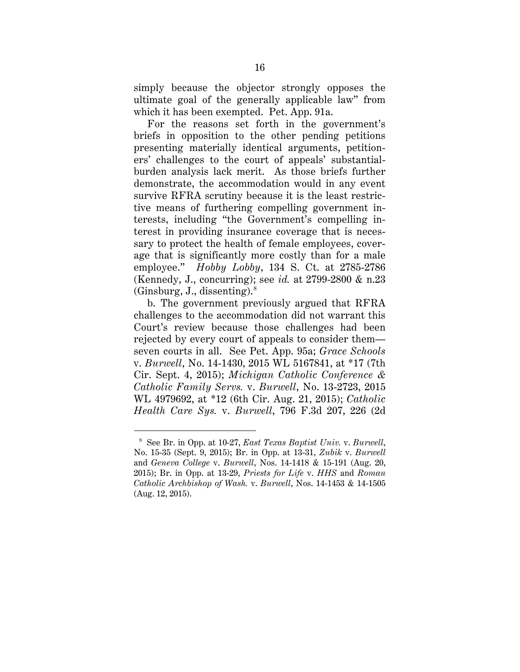simply because the objector strongly opposes the ultimate goal of the generally applicable law" from which it has been exempted. Pet. App. 91a.

For the reasons set forth in the government's briefs in opposition to the other pending petitions presenting materially identical arguments, petitioners' challenges to the court of appeals' substantialburden analysis lack merit. As those briefs further demonstrate, the accommodation would in any event survive RFRA scrutiny because it is the least restrictive means of furthering compelling government interests, including "the Government's compelling interest in providing insurance coverage that is necessary to protect the health of female employees, coverage that is significantly more costly than for a male employee." *Hobby Lobby*, 134 S. Ct. at 2785-2786 (Kennedy, J., concurring); see *id.* at 2799-2800 & n.23 (Ginsburg, J., dissenting). $8$ 

b. The government previously argued that RFRA challenges to the accommodation did not warrant this Court's review because those challenges had been rejected by every court of appeals to consider them seven courts in all. See Pet. App. 95a; *Grace Schools*  v. *Burwell*, No. 14-1430, 2015 WL 5167841, at \*17 (7th Cir. Sept. 4, 2015); *Michigan Catholic Conference & Catholic Family Servs.* v. *Burwell*, No. 13-2723, 2015 WL 4979692, at \*12 (6th Cir. Aug. 21, 2015); *Catholic Health Care Sys.* v. *Burwell*, 796 F.3d 207, 226 (2d

 <sup>8</sup> See Br. in Opp. at 10-27, *East Texas Baptist Univ.* v. *Burwell*, No. 15-35 (Sept. 9, 2015); Br. in Opp. at 13-31, *Zubik* v. *Burwell* and *Geneva College* v. *Burwell*, Nos. 14-1418 & 15-191 (Aug. 20, 2015); Br. in Opp. at 13-29, *Priests for Life* v. *HHS* and *Roman Catholic Archbishop of Wash.* v. *Burwell*, Nos. 14-1453 & 14-1505 (Aug. 12, 2015).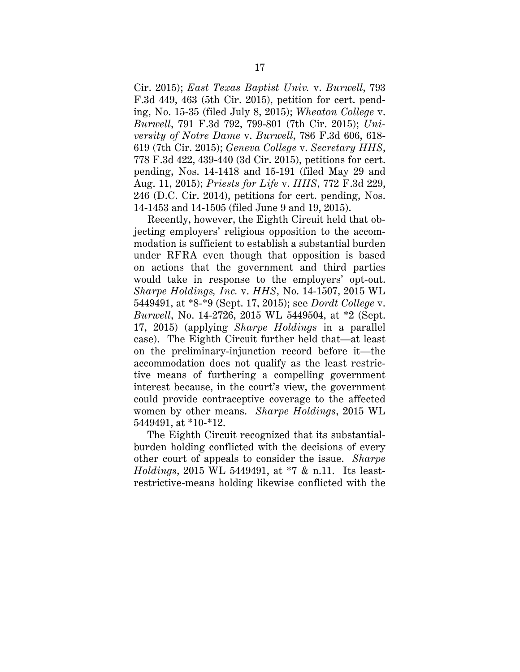Cir. 2015); *East Texas Baptist Univ.* v. *Burwell*, 793 F.3d 449, 463 (5th Cir. 2015), petition for cert. pending, No. 15-35 (filed July 8, 2015); *Wheaton College* v. *Burwell*, 791 F.3d 792, 799-801 (7th Cir. 2015); *University of Notre Dame* v. *Burwell*, 786 F.3d 606, 618- 619 (7th Cir. 2015); *Geneva College* v. *Secretary HHS*, 778 F.3d 422, 439-440 (3d Cir. 2015), petitions for cert. pending, Nos. 14-1418 and 15-191 (filed May 29 and Aug. 11, 2015); *Priests for Life* v. *HHS*, 772 F.3d 229, 246 (D.C. Cir. 2014), petitions for cert. pending, Nos. 14-1453 and 14-1505 (filed June 9 and 19, 2015).

Recently, however, the Eighth Circuit held that objecting employers' religious opposition to the accommodation is sufficient to establish a substantial burden under RFRA even though that opposition is based on actions that the government and third parties would take in response to the employers' opt-out. *Sharpe Holdings, Inc.* v. *HHS*, No. 14-1507, 2015 WL 5449491, at \*8-\*9 (Sept. 17, 2015); see *Dordt College* v. *Burwell*, No. 14-2726, 2015 WL 5449504, at \*2 (Sept. 17, 2015) (applying *Sharpe Holdings* in a parallel case). The Eighth Circuit further held that—at least on the preliminary-injunction record before it—the accommodation does not qualify as the least restrictive means of furthering a compelling government interest because, in the court's view, the government could provide contraceptive coverage to the affected women by other means. *Sharpe Holdings*, 2015 WL 5449491, at \*10-\*12.

The Eighth Circuit recognized that its substantialburden holding conflicted with the decisions of every other court of appeals to consider the issue. *Sharpe Holdings*, 2015 WL 5449491, at \*7 & n.11. Its leastrestrictive-means holding likewise conflicted with the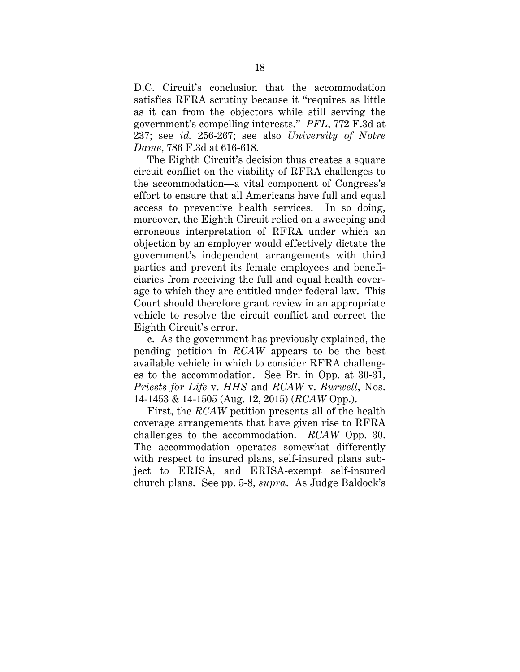D.C. Circuit's conclusion that the accommodation satisfies RFRA scrutiny because it "requires as little as it can from the objectors while still serving the government's compelling interests." *PFL*, 772 F.3d at 237; see *id.* 256-267; see also *University of Notre Dame*, 786 F.3d at 616-618.

The Eighth Circuit's decision thus creates a square circuit conflict on the viability of RFRA challenges to the accommodation—a vital component of Congress's effort to ensure that all Americans have full and equal access to preventive health services. In so doing, moreover, the Eighth Circuit relied on a sweeping and erroneous interpretation of RFRA under which an objection by an employer would effectively dictate the government's independent arrangements with third parties and prevent its female employees and beneficiaries from receiving the full and equal health coverage to which they are entitled under federal law. This Court should therefore grant review in an appropriate vehicle to resolve the circuit conflict and correct the Eighth Circuit's error.

c. As the government has previously explained, the pending petition in *RCAW* appears to be the best available vehicle in which to consider RFRA challenges to the accommodation. See Br. in Opp. at 30-31, *Priests for Life* v. *HHS* and *RCAW* v. *Burwell*, Nos. 14-1453 & 14-1505 (Aug. 12, 2015) (*RCAW* Opp.).

First, the *RCAW* petition presents all of the health coverage arrangements that have given rise to RFRA challenges to the accommodation. *RCAW* Opp. 30. The accommodation operates somewhat differently with respect to insured plans, self-insured plans subject to ERISA, and ERISA-exempt self-insured church plans. See pp. 5-8, *supra*. As Judge Baldock's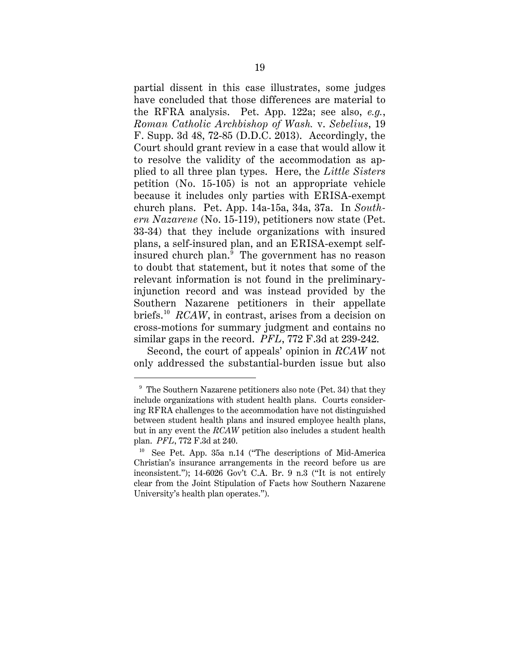partial dissent in this case illustrates, some judges have concluded that those differences are material to the RFRA analysis. Pet. App. 122a; see also, *e.g.*, *Roman Catholic Archbishop of Wash.* v. *Sebelius*, 19 F. Supp. 3d 48, 72-85 (D.D.C. 2013). Accordingly, the Court should grant review in a case that would allow it to resolve the validity of the accommodation as applied to all three plan types. Here, the *Little Sisters* petition (No. 15-105) is not an appropriate vehicle because it includes only parties with ERISA-exempt church plans. Pet. App. 14a-15a, 34a, 37a. In *Southern Nazarene* (No. 15-119), petitioners now state (Pet. 33-34) that they include organizations with insured plans, a self-insured plan, and an ERISA-exempt selfinsured church plan. 9 The government has no reason to doubt that statement, but it notes that some of the relevant information is not found in the preliminaryinjunction record and was instead provided by the Southern Nazarene petitioners in their appellate briefs. 10 *RCAW*, in contrast, arises from a decision on cross-motions for summary judgment and contains no similar gaps in the record. *PFL*, 772 F.3d at 239-242.

Second, the court of appeals' opinion in *RCAW* not only addressed the substantial-burden issue but also

 <sup>9</sup> The Southern Nazarene petitioners also note (Pet. 34) that they include organizations with student health plans. Courts considering RFRA challenges to the accommodation have not distinguished between student health plans and insured employee health plans, but in any event the *RCAW* petition also includes a student health plan. *PFL*, 772 F.3d at 240.

<sup>10</sup> See Pet. App. 35a n.14 ("The descriptions of Mid-America Christian's insurance arrangements in the record before us are inconsistent."); 14-6026 Gov't C.A. Br. 9 n.3 ("It is not entirely clear from the Joint Stipulation of Facts how Southern Nazarene University's health plan operates.").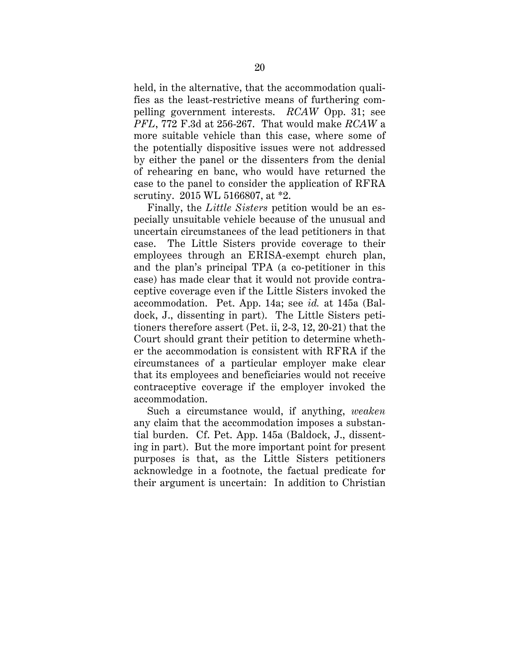held, in the alternative, that the accommodation qualifies as the least-restrictive means of furthering compelling government interests. *RCAW* Opp. 31; see *PFL*, 772 F.3d at 256-267. That would make *RCAW* a more suitable vehicle than this case, where some of the potentially dispositive issues were not addressed by either the panel or the dissenters from the denial of rehearing en banc, who would have returned the case to the panel to consider the application of RFRA scrutiny. 2015 WL 5166807, at \*2.

Finally, the *Little Sisters* petition would be an especially unsuitable vehicle because of the unusual and uncertain circumstances of the lead petitioners in that case. The Little Sisters provide coverage to their employees through an ERISA-exempt church plan, and the plan's principal TPA (a co-petitioner in this case) has made clear that it would not provide contraceptive coverage even if the Little Sisters invoked the accommodation. Pet. App. 14a; see *id.* at 145a (Baldock, J., dissenting in part). The Little Sisters petitioners therefore assert (Pet. ii, 2-3, 12, 20-21) that the Court should grant their petition to determine whether the accommodation is consistent with RFRA if the circumstances of a particular employer make clear that its employees and beneficiaries would not receive contraceptive coverage if the employer invoked the accommodation.

Such a circumstance would, if anything, *weaken* any claim that the accommodation imposes a substantial burden. Cf. Pet. App. 145a (Baldock, J., dissenting in part). But the more important point for present purposes is that, as the Little Sisters petitioners acknowledge in a footnote, the factual predicate for their argument is uncertain: In addition to Christian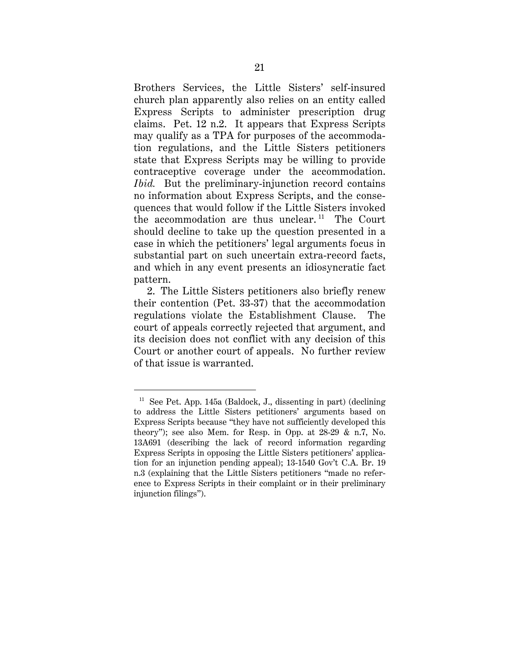Brothers Services, the Little Sisters' self-insured church plan apparently also relies on an entity called Express Scripts to administer prescription drug claims. Pet. 12 n.2. It appears that Express Scripts may qualify as a TPA for purposes of the accommodation regulations, and the Little Sisters petitioners state that Express Scripts may be willing to provide contraceptive coverage under the accommodation. *Ibid.* But the preliminary-injunction record contains no information about Express Scripts, and the consequences that would follow if the Little Sisters invoked the accommodation are thus unclear.<sup>11</sup> The Court should decline to take up the question presented in a case in which the petitioners' legal arguments focus in substantial part on such uncertain extra-record facts, and which in any event presents an idiosyncratic fact pattern.

2. The Little Sisters petitioners also briefly renew their contention (Pet. 33-37) that the accommodation regulations violate the Establishment Clause. The court of appeals correctly rejected that argument, and its decision does not conflict with any decision of this Court or another court of appeals. No further review of that issue is warranted.

 $11$  See Pet. App. 145a (Baldock, J., dissenting in part) (declining to address the Little Sisters petitioners' arguments based on Express Scripts because "they have not sufficiently developed this theory"); see also Mem. for Resp. in Opp. at 28-29 & n.7, No. 13A691 (describing the lack of record information regarding Express Scripts in opposing the Little Sisters petitioners' application for an injunction pending appeal); 13-1540 Gov't C.A. Br. 19 n.3 (explaining that the Little Sisters petitioners "made no reference to Express Scripts in their complaint or in their preliminary injunction filings").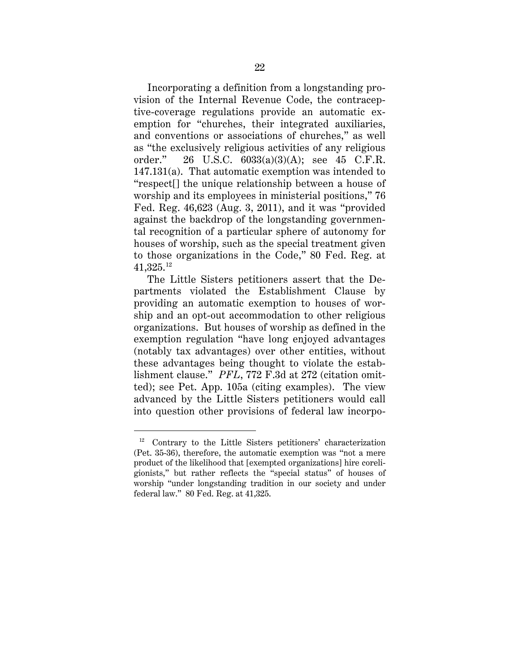Incorporating a definition from a longstanding provision of the Internal Revenue Code, the contraceptive-coverage regulations provide an automatic exemption for "churches, their integrated auxiliaries, and conventions or associations of churches," as well as "the exclusively religious activities of any religious order." 26 U.S.C. 6033(a)(3)(A); see 45 C.F.R. 147.131(a). That automatic exemption was intended to "respect[] the unique relationship between a house of worship and its employees in ministerial positions," 76 Fed. Reg. 46,623 (Aug. 3, 2011), and it was "provided against the backdrop of the longstanding governmental recognition of a particular sphere of autonomy for houses of worship, such as the special treatment given to those organizations in the Code," 80 Fed. Reg. at 41,325.12

The Little Sisters petitioners assert that the Departments violated the Establishment Clause by providing an automatic exemption to houses of worship and an opt-out accommodation to other religious organizations. But houses of worship as defined in the exemption regulation "have long enjoyed advantages (notably tax advantages) over other entities, without these advantages being thought to violate the establishment clause." *PFL*, 772 F.3d at 272 (citation omitted); see Pet. App. 105a (citing examples). The view advanced by the Little Sisters petitioners would call into question other provisions of federal law incorpo-

 <sup>12</sup> Contrary to the Little Sisters petitioners' characterization (Pet. 35-36), therefore, the automatic exemption was "not a mere product of the likelihood that [exempted organizations] hire coreligionists," but rather reflects the "special status" of houses of worship "under longstanding tradition in our society and under federal law." 80 Fed. Reg. at 41,325.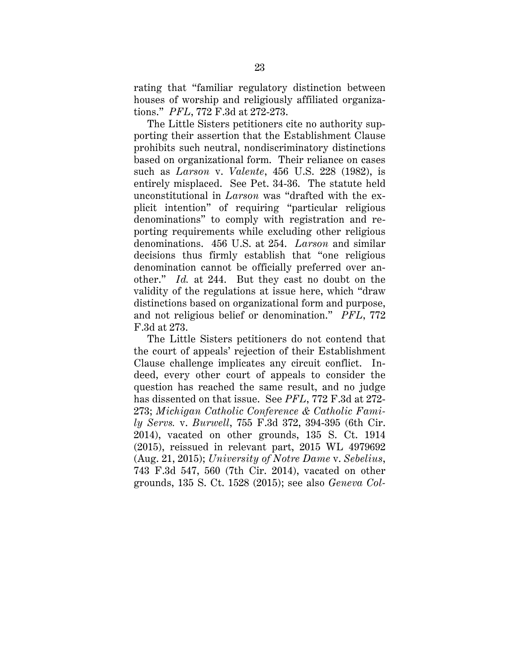rating that "familiar regulatory distinction between houses of worship and religiously affiliated organizations." *PFL*, 772 F.3d at 272-273.

The Little Sisters petitioners cite no authority supporting their assertion that the Establishment Clause prohibits such neutral, nondiscriminatory distinctions based on organizational form. Their reliance on cases such as *Larson* v. *Valente*, 456 U.S. 228 (1982), is entirely misplaced. See Pet. 34-36. The statute held unconstitutional in *Larson* was "drafted with the explicit intention" of requiring "particular religious denominations" to comply with registration and reporting requirements while excluding other religious denominations. 456 U.S. at 254. *Larson* and similar decisions thus firmly establish that "one religious denomination cannot be officially preferred over another." *Id.* at 244. But they cast no doubt on the validity of the regulations at issue here, which "draw distinctions based on organizational form and purpose, and not religious belief or denomination." *PFL*, 772 F.3d at 273.

The Little Sisters petitioners do not contend that the court of appeals' rejection of their Establishment Clause challenge implicates any circuit conflict. Indeed, every other court of appeals to consider the question has reached the same result, and no judge has dissented on that issue. See *PFL*, 772 F.3d at 272- 273; *Michigan Catholic Conference & Catholic Family Servs.* v. *Burwell*, 755 F.3d 372, 394-395 (6th Cir. 2014), vacated on other grounds, 135 S. Ct. 1914 (2015), reissued in relevant part, 2015 WL 4979692 (Aug. 21, 2015); *University of Notre Dame* v. *Sebelius*, 743 F.3d 547, 560 (7th Cir. 2014), vacated on other grounds, 135 S. Ct. 1528 (2015); see also *Geneva Col-*